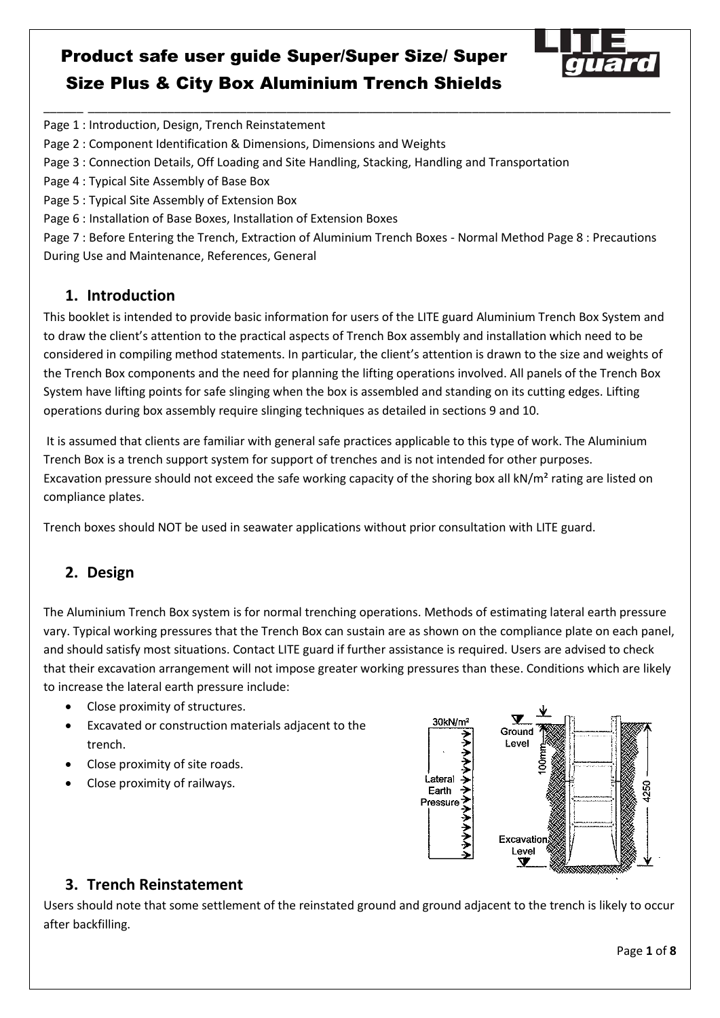

Page 1 : Introduction, Design, Trench Reinstatement

Page 2 : Component Identification & Dimensions, Dimensions and Weights

Page 3 : Connection Details, Off Loading and Site Handling, Stacking, Handling and Transportation

Page 4 : Typical Site Assembly of Base Box

Page 5 : Typical Site Assembly of Extension Box

Page 6 : Installation of Base Boxes, Installation of Extension Boxes

Page 7 : Before Entering the Trench, Extraction of Aluminium Trench Boxes - Normal Method Page 8 : Precautions During Use and Maintenance, References, General

\_\_\_\_\_\_ \_\_\_\_\_\_\_\_\_\_\_\_\_\_\_\_\_\_\_\_\_\_\_\_\_\_\_\_\_\_\_\_\_\_\_\_\_\_\_\_\_\_\_\_\_\_\_\_\_\_\_\_\_\_\_\_\_\_\_\_\_\_\_\_\_\_\_\_\_\_\_\_\_\_\_\_\_\_\_\_\_\_\_\_\_\_\_\_

#### **1. Introduction**

This booklet is intended to provide basic information for users of the LITE guard Aluminium Trench Box System and to draw the client's attention to the practical aspects of Trench Box assembly and installation which need to be considered in compiling method statements. In particular, the client's attention is drawn to the size and weights of the Trench Box components and the need for planning the lifting operations involved. All panels of the Trench Box System have lifting points for safe slinging when the box is assembled and standing on its cutting edges. Lifting operations during box assembly require slinging techniques as detailed in sections 9 and 10.

 It is assumed that clients are familiar with general safe practices applicable to this type of work. The Aluminium Trench Box is a trench support system for support of trenches and is not intended for other purposes. Excavation pressure should not exceed the safe working capacity of the shoring box all kN/m<sup>2</sup> rating are listed on compliance plates.

Trench boxes should NOT be used in seawater applications without prior consultation with LITE guard.

### **2. Design**

The Aluminium Trench Box system is for normal trenching operations. Methods of estimating lateral earth pressure vary. Typical working pressures that the Trench Box can sustain are as shown on the compliance plate on each panel, and should satisfy most situations. Contact LITE guard if further assistance is required. Users are advised to check that their excavation arrangement will not impose greater working pressures than these. Conditions which are likely to increase the lateral earth pressure include:

- Close proximity of structures.
- Excavated or construction materials adjacent to the trench.
- Close proximity of site roads.
- Close proximity of railways.



### **3. Trench Reinstatement**

Users should note that some settlement of the reinstated ground and ground adjacent to the trench is likely to occur after backfilling.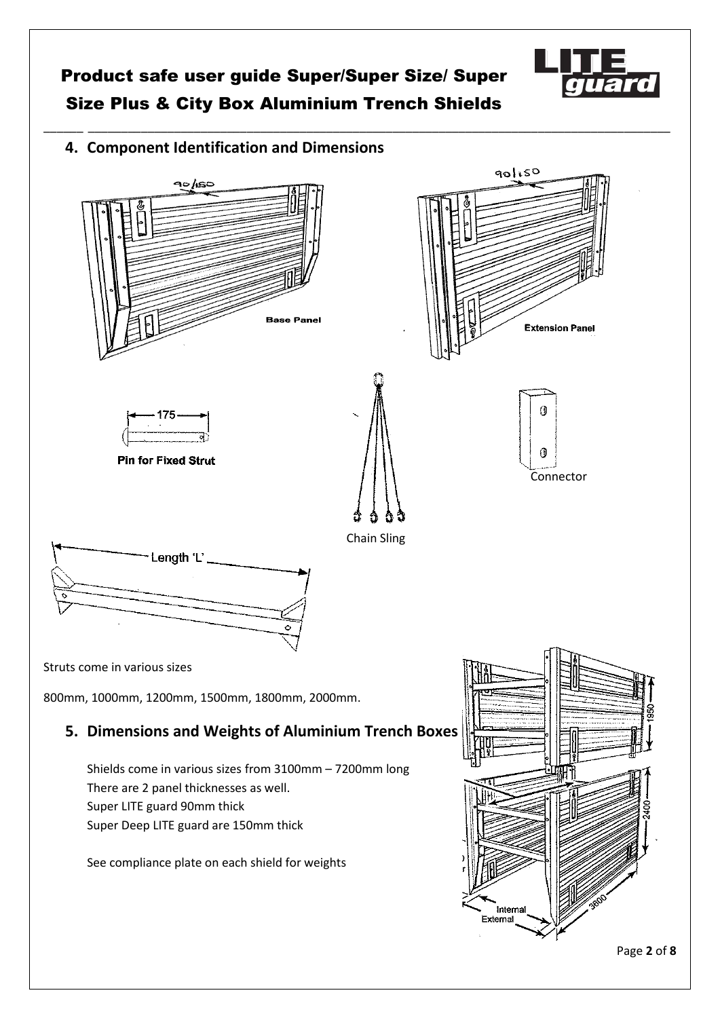\_\_\_\_\_\_ \_\_\_\_\_\_\_\_\_\_\_\_\_\_\_\_\_\_\_\_\_\_\_\_\_\_\_\_\_\_\_\_\_\_\_\_\_\_\_\_\_\_\_\_\_\_\_\_\_\_\_\_\_\_\_\_\_\_\_\_\_\_\_\_\_\_\_\_\_\_\_\_\_\_\_\_\_\_\_\_\_\_\_\_\_\_\_\_







Page **2** of **8**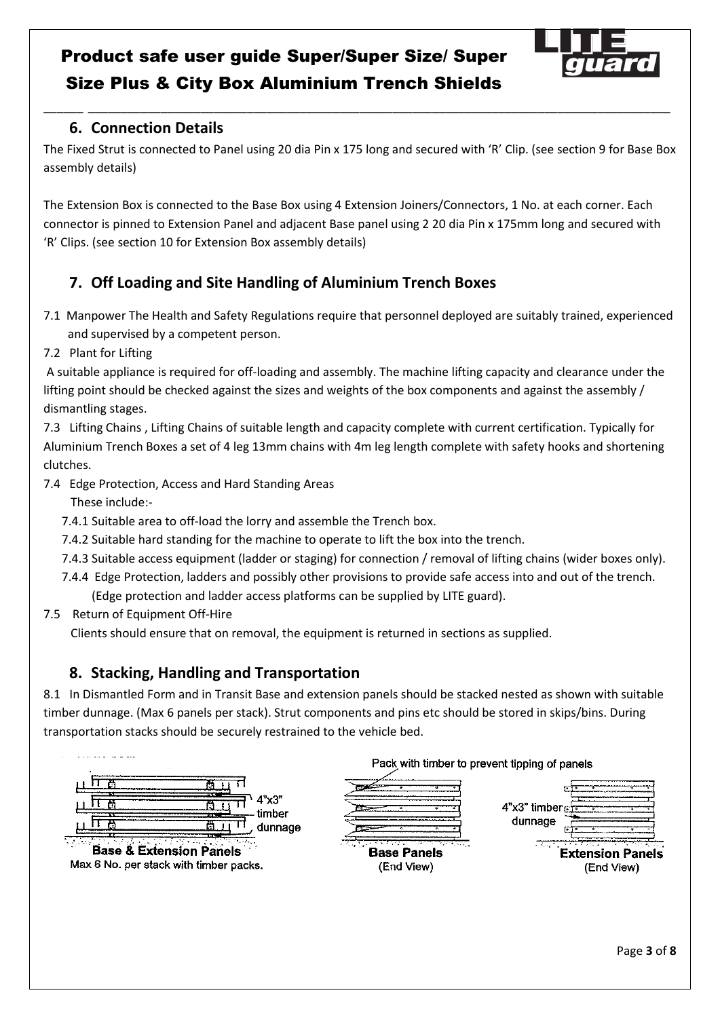

### **6. Connection Details**

The Fixed Strut is connected to Panel using 20 dia Pin x 175 long and secured with 'R' Clip. (see section 9 for Base Box assembly details)

\_\_\_\_\_\_ \_\_\_\_\_\_\_\_\_\_\_\_\_\_\_\_\_\_\_\_\_\_\_\_\_\_\_\_\_\_\_\_\_\_\_\_\_\_\_\_\_\_\_\_\_\_\_\_\_\_\_\_\_\_\_\_\_\_\_\_\_\_\_\_\_\_\_\_\_\_\_\_\_\_\_\_\_\_\_\_\_\_\_\_\_\_\_\_

The Extension Box is connected to the Base Box using 4 Extension Joiners/Connectors, 1 No. at each corner. Each connector is pinned to Extension Panel and adjacent Base panel using 2 20 dia Pin x 175mm long and secured with 'R' Clips. (see section 10 for Extension Box assembly details)

### **7. Off Loading and Site Handling of Aluminium Trench Boxes**

- 7.1 Manpower The Health and Safety Regulations require that personnel deployed are suitably trained, experienced and supervised by a competent person.
- 7.2 Plant for Lifting

 A suitable appliance is required for off-loading and assembly. The machine lifting capacity and clearance under the lifting point should be checked against the sizes and weights of the box components and against the assembly / dismantling stages.

7.3 Lifting Chains , Lifting Chains of suitable length and capacity complete with current certification. Typically for Aluminium Trench Boxes a set of 4 leg 13mm chains with 4m leg length complete with safety hooks and shortening clutches.

7.4 Edge Protection, Access and Hard Standing Areas

These include:-

- 7.4.1 Suitable area to off-load the lorry and assemble the Trench box.
- 7.4.2 Suitable hard standing for the machine to operate to lift the box into the trench.
- 7.4.3 Suitable access equipment (ladder or staging) for connection / removal of lifting chains (wider boxes only).
- 7.4.4 Edge Protection, ladders and possibly other provisions to provide safe access into and out of the trench. (Edge protection and ladder access platforms can be supplied by LITE guard).
- 7.5 Return of Equipment Off-Hire

Clients should ensure that on removal, the equipment is returned in sections as supplied.

### **8. Stacking, Handling and Transportation**

8.1 In Dismantled Form and in Transit Base and extension panels should be stacked nested as shown with suitable timber dunnage. (Max 6 panels per stack). Strut components and pins etc should be stored in skips/bins. During transportation stacks should be securely restrained to the vehicle bed.

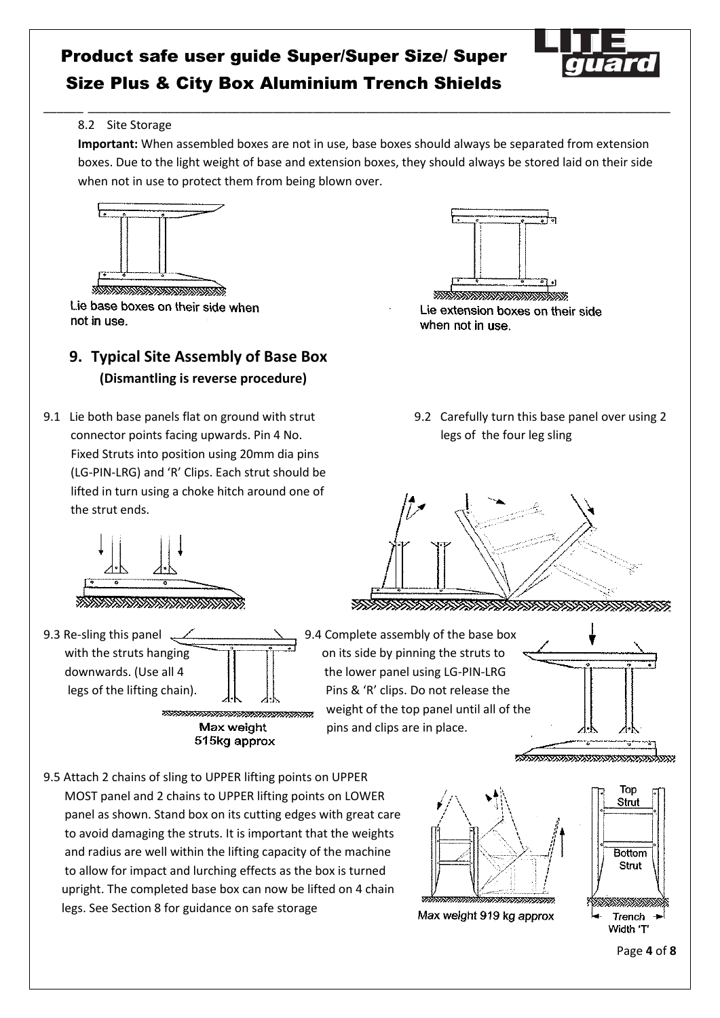

#### 8.2 Site Storage

**Important:** When assembled boxes are not in use, base boxes should always be separated from extension boxes. Due to the light weight of base and extension boxes, they should always be stored laid on their side when not in use to protect them from being blown over.

\_\_\_\_\_\_ \_\_\_\_\_\_\_\_\_\_\_\_\_\_\_\_\_\_\_\_\_\_\_\_\_\_\_\_\_\_\_\_\_\_\_\_\_\_\_\_\_\_\_\_\_\_\_\_\_\_\_\_\_\_\_\_\_\_\_\_\_\_\_\_\_\_\_\_\_\_\_\_\_\_\_\_\_\_\_\_\_\_\_\_\_\_\_\_



Lie base boxes on their side when not in use.

### **9. Typical Site Assembly of Base Box (Dismantling is reverse procedure)**

9.1 Lie both base panels flat on ground with strut 9.2 Carefully turn this base panel over using 2 connector points facing upwards. Pin 4 No. legs of the four leg sling Fixed Struts into position using 20mm dia pins (LG-PIN-LRG) and 'R' Clips. Each strut should be lifted in turn using a choke hitch around one of the strut ends.



Lie extension boxes on their side when not in use.

*ENERGY ENERGY STATE STATE STATE STATE STATE STATE STATE STATE STATE STATE STATE STATE STATE STATE STATE STATE* 



9.3 Re-sling this panel 2.9 PM 9.4 Complete assembly of the base box with the struts hanging  $\frac{1}{\sqrt{1-\frac{1}{\sqrt{1-\frac{1}{\sqrt{1-\frac{1}{\sqrt{1-\frac{1}{\sqrt{1-\frac{1}{\sqrt{1-\frac{1}{\sqrt{1-\frac{1}{\sqrt{1-\frac{1}{\sqrt{1-\frac{1}{\sqrt{1-\frac{1}{\sqrt{1-\frac{1}{\sqrt{1-\frac{1}{\sqrt{1-\frac{1}{\sqrt{1-\frac{1}{\sqrt{1-\frac{1}{\sqrt{1-\frac{1}{\sqrt{1-\frac{1}{\sqrt{1-\frac{1}{\sqrt{1-\frac{1}{\sqrt{1-\frac{1}{\sqrt{1-\frac{1}{\sqrt$  downwards. (Use all 4 the lower panel using LG-PIN-LRG legs of the lifting chain). Pins & 'R' clips. Do not release the

weight of the top panel until all of the Max weight pins and clips are in place.<br>515kg approx

<u> straatsaanaanaanaanaanaanaana</u>

9.5 Attach 2 chains of sling to UPPER lifting points on UPPER MOST panel and 2 chains to UPPER lifting points on LOWER panel as shown. Stand box on its cutting edges with great care to avoid damaging the struts. It is important that the weights and radius are well within the lifting capacity of the machine to allow for impact and lurching effects as the box is turned upright. The completed base box can now be lifted on 4 chain legs. See Section 8 for guidance on safe storage



Max weight 919 kg approx

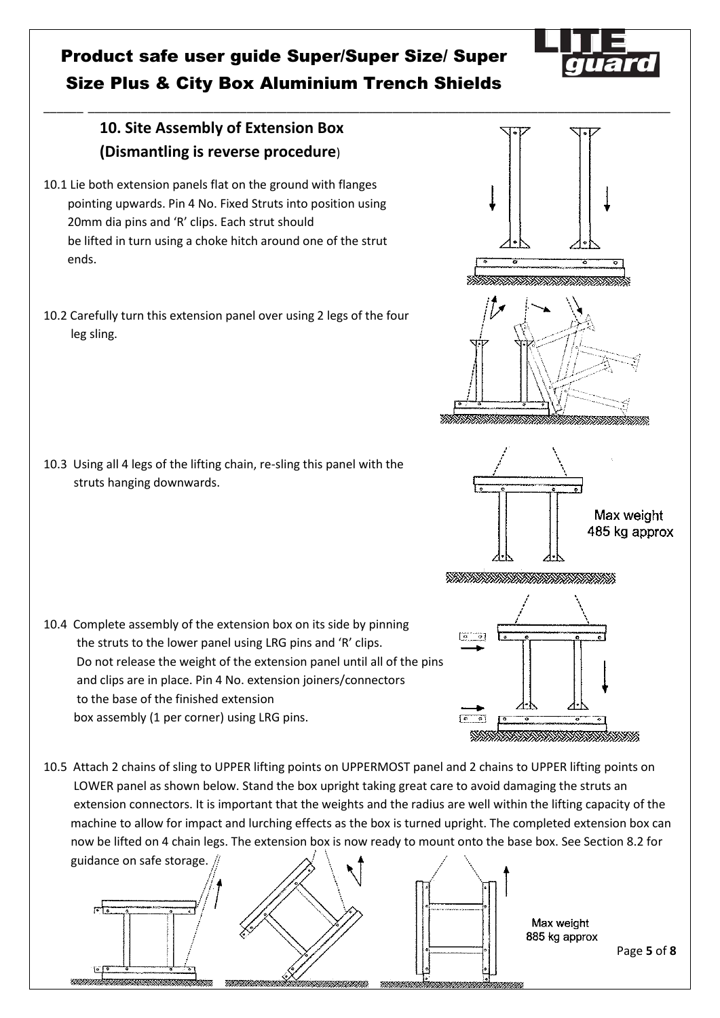\_\_\_\_\_\_ \_\_\_\_\_\_\_\_\_\_\_\_\_\_\_\_\_\_\_\_\_\_\_\_\_\_\_\_\_\_\_\_\_\_\_\_\_\_\_\_\_\_\_\_\_\_\_\_\_\_\_\_\_\_\_\_\_\_\_\_\_\_\_\_\_\_\_\_\_\_\_\_\_\_\_\_\_\_\_\_\_\_\_\_\_\_\_\_

### **10. Site Assembly of Extension Box (Dismantling is reverse procedure**)

- 10.1 Lie both extension panels flat on the ground with flanges pointing upwards. Pin 4 No. Fixed Struts into position using 20mm dia pins and 'R' clips. Each strut should be lifted in turn using a choke hitch around one of the strut ends.
- 10.2 Carefully turn this extension panel over using 2 legs of the four leg sling.

10.3 Using all 4 legs of the lifting chain, re-sling this panel with the struts hanging downwards.

- 10.4 Complete assembly of the extension box on its side by pinning the struts to the lower panel using LRG pins and 'R' clips. Do not release the weight of the extension panel until all of the pins and clips are in place. Pin 4 No. extension joiners/connectors to the base of the finished extension box assembly (1 per corner) using LRG pins.
- 10.5 Attach 2 chains of sling to UPPER lifting points on UPPERMOST panel and 2 chains to UPPER lifting points on LOWER panel as shown below. Stand the box upright taking great care to avoid damaging the struts an extension connectors. It is important that the weights and the radius are well within the lifting capacity of the machine to allow for impact and lurching effects as the box is turned upright. The completed extension box can now be lifted on 4 chain legs. The extension box is now ready to mount onto the base box. See Section 8.2 for





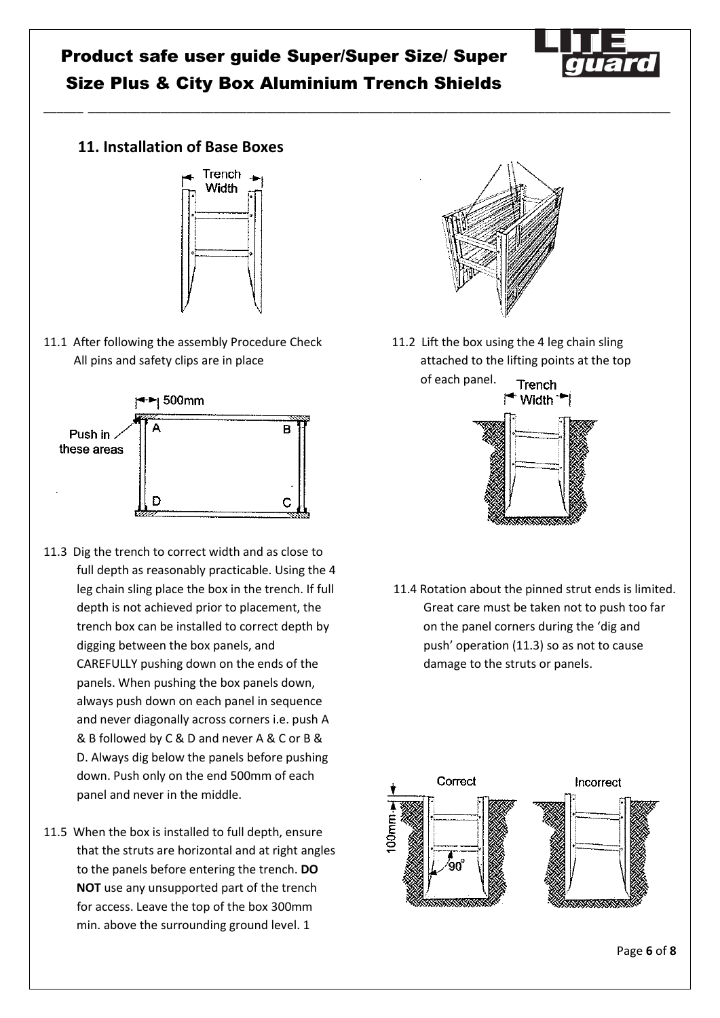\_\_\_\_\_\_ \_\_\_\_\_\_\_\_\_\_\_\_\_\_\_\_\_\_\_\_\_\_\_\_\_\_\_\_\_\_\_\_\_\_\_\_\_\_\_\_\_\_\_\_\_\_\_\_\_\_\_\_\_\_\_\_\_\_\_\_\_\_\_\_\_\_\_\_\_\_\_\_\_\_\_\_\_\_\_\_\_\_\_\_\_\_\_\_



### **11. Installation of Base Boxes**



11.1 After following the assembly Procedure Check 11.2 Lift the box using the 4 leg chain sling All pins and safety clips are in place attached to the lifting points at the top



- 11.3 Dig the trench to correct width and as close to full depth as reasonably practicable. Using the 4 leg chain sling place the box in the trench. If full depth is not achieved prior to placement, the trench box can be installed to correct depth by digging between the box panels, and CAREFULLY pushing down on the ends of the panels. When pushing the box panels down, always push down on each panel in sequence and never diagonally across corners i.e. push A & B followed by C & D and never A & C or B & D. Always dig below the panels before pushing down. Push only on the end 500mm of each panel and never in the middle.
- 11.5 When the box is installed to full depth, ensure that the struts are horizontal and at right angles to the panels before entering the trench. **DO NOT** use any unsupported part of the trench for access. Leave the top of the box 300mm min. above the surrounding ground level. 1



of each panel.



 11.4 Rotation about the pinned strut ends is limited. Great care must be taken not to push too far on the panel corners during the 'dig and push' operation (11.3) so as not to cause damage to the struts or panels.

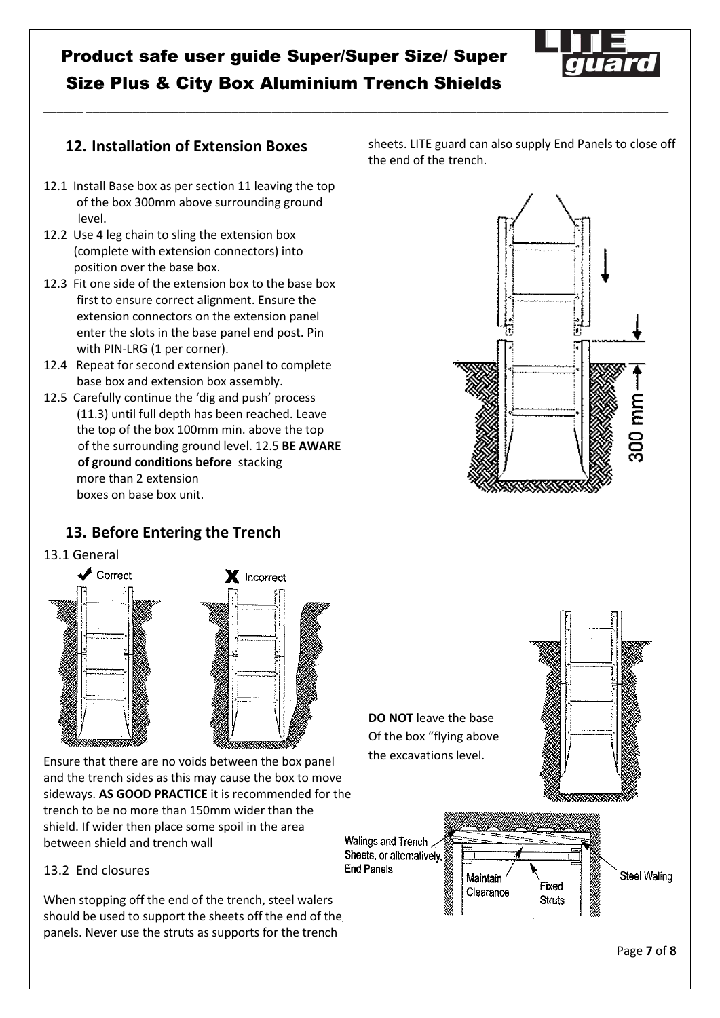\_\_\_\_\_\_ \_\_\_\_\_\_\_\_\_\_\_\_\_\_\_\_\_\_\_\_\_\_\_\_\_\_\_\_\_\_\_\_\_\_\_\_\_\_\_\_\_\_\_\_\_\_\_\_\_\_\_\_\_\_\_\_\_\_\_\_\_\_\_\_\_\_\_\_\_\_\_\_\_\_\_\_\_\_\_\_\_\_\_\_\_\_\_\_

### **12. Installation of Extension Boxes**

- 12.1 Install Base box as per section 11 leaving the top of the box 300mm above surrounding ground level.
- 12.2 Use 4 leg chain to sling the extension box (complete with extension connectors) into position over the base box.
- 12.3 Fit one side of the extension box to the base box first to ensure correct alignment. Ensure the extension connectors on the extension panel enter the slots in the base panel end post. Pin with PIN-LRG (1 per corner).
- 12.4 Repeat for second extension panel to complete base box and extension box assembly.
- 12.5 Carefully continue the 'dig and push' process (11.3) until full depth has been reached. Leave the top of the box 100mm min. above the top of the surrounding ground level. 12.5 **BE AWARE of ground conditions before** stacking more than 2 extension boxes on base box unit.

### **13. Before Entering the Trench**

13.1 General



Ensure that there are no voids between the box panel and the trench sides as this may cause the box to move sideways. **AS GOOD PRACTICE** it is recommended for the trench to be no more than 150mm wider than the shield. If wider then place some spoil in the area between shield and trench wall

#### 13.2 End closures

When stopping off the end of the trench, steel walers should be used to support the sheets off the end of the panels. Never use the struts as supports for the trench

sheets. LITE guard can also supply End Panels to close off the end of the trench.



**DO NOT** leave the base Of the box "flying above the excavations level.



Walings and Trench Sheets, or alternatively, § **End Panels** 

Maintain Clearance

Fixed

**Struts** 

Steel Waling